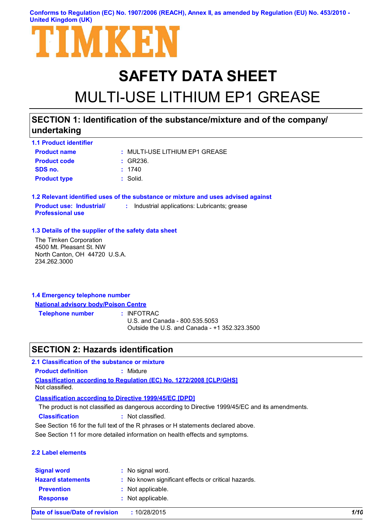**Conforms to Regulation (EC) No. 1907/2006 (REACH), Annex II, as amended by Regulation (EU) No. 453/2010 - United Kingdom (UK)**



# **SAFETY DATA SHEET** MULTI-USE LITHIUM EP1 GREASE

## **SECTION 1: Identification of the substance/mixture and of the company/ undertaking**

| <b>1.1 Product identifier</b> |                                |
|-------------------------------|--------------------------------|
| <b>Product name</b>           | : MULTI-USE LITHIUM EP1 GREASE |
| <b>Product code</b>           | $\pm$ GR236.                   |
| SDS no.                       | : 1740                         |
| <b>Product type</b>           | : Solid.                       |

**1.2 Relevant identified uses of the substance or mixture and uses advised against Product use: Industrial/ Professional use :** Industrial applications: Lubricants; grease

#### **1.3 Details of the supplier of the safety data sheet**

The Timken Corporation 4500 Mt. Pleasant St. NW North Canton, OH 44720 U.S.A. 234.262.3000

| 1.4 Emergency telephone number              |  |
|---------------------------------------------|--|
| <b>National advisory body/Poison Centre</b> |  |

**Telephone number :**

: INFOTRAC

U.S. and Canada - 800.535.5053 Outside the U.S. and Canada - +1 352.323.3500

## **SECTION 2: Hazards identification**

**Classification according to Regulation (EC) No. 1272/2008 [CLP/GHS] 2.1 Classification of the substance or mixture Product definition :** Mixture Not classified.

**Classification according to Directive 1999/45/EC [DPD]**

The product is not classified as dangerous according to Directive 1999/45/EC and its amendments.

**Classification :** Not classified.

See Section 16 for the full text of the R phrases or H statements declared above.

See Section 11 for more detailed information on health effects and symptoms.

#### **2.2 Label elements**

| <b>Signal word</b>       | : No signal word.                                   |
|--------------------------|-----------------------------------------------------|
| <b>Hazard statements</b> | : No known significant effects or critical hazards. |
| <b>Prevention</b>        | : Not applicable.                                   |
| <b>Response</b>          | : Not applicable.                                   |
|                          |                                                     |

**Date of issue/Date of revision :** 10/28/2015 *1/10*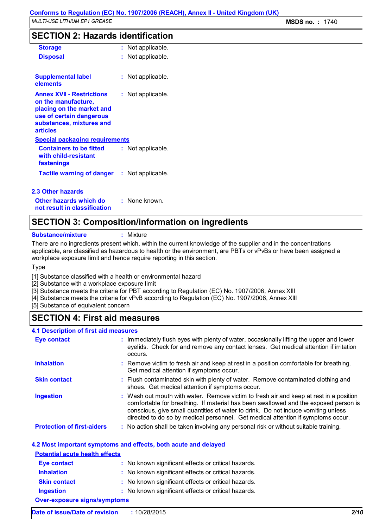## **SECTION 2: Hazards identification**

| <b>Storage</b>                                                                                                                                           | : Not applicable.     |
|----------------------------------------------------------------------------------------------------------------------------------------------------------|-----------------------|
| <b>Disposal</b>                                                                                                                                          | Not applicable.       |
| <b>Supplemental label</b><br>elements                                                                                                                    | Not applicable.       |
| <b>Annex XVII - Restrictions</b><br>on the manufacture,<br>placing on the market and<br>use of certain dangerous<br>substances, mixtures and<br>articles | Not applicable.       |
| <b>Special packaging requirements</b>                                                                                                                    |                       |
| <b>Containers to be fitted</b><br>with child-resistant<br>fastenings                                                                                     | Not applicable.       |
| Tactile warning of danger                                                                                                                                | Not applicable.<br>t. |
| 2.3 Other hazards                                                                                                                                        |                       |

**Other hazards which do : not result in classification** : None known.

## **SECTION 3: Composition/information on ingredients**

**Substance/mixture :** Mixture

There are no ingredients present which, within the current knowledge of the supplier and in the concentrations applicable, are classified as hazardous to health or the environment, are PBTs or vPvBs or have been assigned a workplace exposure limit and hence require reporting in this section.

Type

[1] Substance classified with a health or environmental hazard

[2] Substance with a workplace exposure limit

[3] Substance meets the criteria for PBT according to Regulation (EC) No. 1907/2006, Annex XIII

[4] Substance meets the criteria for vPvB according to Regulation (EC) No. 1907/2006, Annex XIII

[5] Substance of equivalent concern

## **SECTION 4: First aid measures**

| <b>4.1 Description of first aid measures</b> |                                                                                                                                                                                                                                                                                                                                                        |
|----------------------------------------------|--------------------------------------------------------------------------------------------------------------------------------------------------------------------------------------------------------------------------------------------------------------------------------------------------------------------------------------------------------|
| <b>Eye contact</b>                           | : Immediately flush eyes with plenty of water, occasionally lifting the upper and lower<br>eyelids. Check for and remove any contact lenses. Get medical attention if irritation<br>occurs.                                                                                                                                                            |
| <b>Inhalation</b>                            | : Remove victim to fresh air and keep at rest in a position comfortable for breathing.<br>Get medical attention if symptoms occur.                                                                                                                                                                                                                     |
| <b>Skin contact</b>                          | : Flush contaminated skin with plenty of water. Remove contaminated clothing and<br>shoes. Get medical attention if symptoms occur.                                                                                                                                                                                                                    |
| <b>Ingestion</b>                             | : Wash out mouth with water. Remove victim to fresh air and keep at rest in a position<br>comfortable for breathing. If material has been swallowed and the exposed person is<br>conscious, give small quantities of water to drink. Do not induce vomiting unless<br>directed to do so by medical personnel. Get medical attention if symptoms occur. |
| <b>Protection of first-aiders</b>            | : No action shall be taken involving any personal risk or without suitable training.                                                                                                                                                                                                                                                                   |

#### **4.2 Most important symptoms and effects, both acute and delayed**

| <b>Potential acute health effects</b> |                                                     |  |
|---------------------------------------|-----------------------------------------------------|--|
| <b>Eye contact</b>                    | : No known significant effects or critical hazards. |  |
| <b>Inhalation</b>                     | : No known significant effects or critical hazards. |  |
| <b>Skin contact</b>                   | : No known significant effects or critical hazards. |  |
| <b>Ingestion</b>                      | : No known significant effects or critical hazards. |  |
| <b>Over-exposure signs/symptoms</b>   |                                                     |  |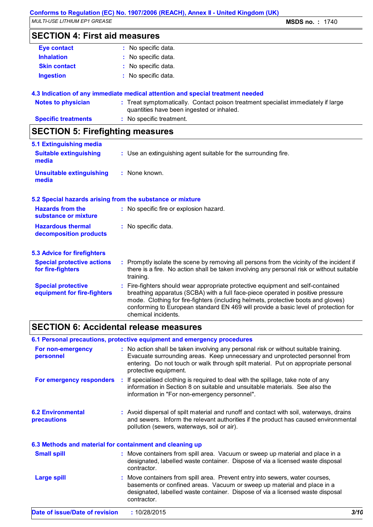*MULTI-USE LITHIUM EP1 GREASE* **MSDS no. :** 1740

## **SECTION 4: First aid measures**

| <b>Eye contact</b>  | : No specific data. |
|---------------------|---------------------|
| <b>Inhalation</b>   | : No specific data. |
| <b>Skin contact</b> | : No specific data. |
| <b>Ingestion</b>    | : No specific data. |
|                     |                     |

#### **4.3 Indication of any immediate medical attention and special treatment needed**

| Notes to physician         | : Treat symptomatically. Contact poison treatment specialist immediately if large |
|----------------------------|-----------------------------------------------------------------------------------|
|                            | quantities have been ingested or inhaled.                                         |
| <b>Specific treatments</b> | : No specific treatment.                                                          |

## **SECTION 5: Firefighting measures**

| 5.1 Extinguishing media                                   |                                                                                                                                                                                                                                                                                                                                                                       |
|-----------------------------------------------------------|-----------------------------------------------------------------------------------------------------------------------------------------------------------------------------------------------------------------------------------------------------------------------------------------------------------------------------------------------------------------------|
| <b>Suitable extinguishing</b><br>media                    | : Use an extinguishing agent suitable for the surrounding fire.                                                                                                                                                                                                                                                                                                       |
| <b>Unsuitable extinguishing</b><br>media                  | : None known.                                                                                                                                                                                                                                                                                                                                                         |
| 5.2 Special hazards arising from the substance or mixture |                                                                                                                                                                                                                                                                                                                                                                       |
| <b>Hazards from the</b><br>substance or mixture           | : No specific fire or explosion hazard.                                                                                                                                                                                                                                                                                                                               |
| <b>Hazardous thermal</b><br>decomposition products        | : No specific data.                                                                                                                                                                                                                                                                                                                                                   |
| <b>5.3 Advice for firefighters</b>                        |                                                                                                                                                                                                                                                                                                                                                                       |
| <b>Special protective actions</b><br>for fire-fighters    | : Promptly isolate the scene by removing all persons from the vicinity of the incident if<br>there is a fire. No action shall be taken involving any personal risk or without suitable<br>training.                                                                                                                                                                   |
| <b>Special protective</b><br>equipment for fire-fighters  | : Fire-fighters should wear appropriate protective equipment and self-contained<br>breathing apparatus (SCBA) with a full face-piece operated in positive pressure<br>mode. Clothing for fire-fighters (including helmets, protective boots and gloves)<br>conforming to European standard EN 469 will provide a basic level of protection for<br>chemical incidents. |

## **SECTION 6: Accidental release measures**

#### **6.1 Personal precautions, protective equipment and emergency procedures**

| For non-emergency<br>personnel                           | : No action shall be taken involving any personal risk or without suitable training.<br>Evacuate surrounding areas. Keep unnecessary and unprotected personnel from<br>entering. Do not touch or walk through spilt material. Put on appropriate personal<br>protective equipment. |      |
|----------------------------------------------------------|------------------------------------------------------------------------------------------------------------------------------------------------------------------------------------------------------------------------------------------------------------------------------------|------|
| For emergency responders                                 | : If specialised clothing is required to deal with the spillage, take note of any<br>information in Section 8 on suitable and unsuitable materials. See also the<br>information in "For non-emergency personnel".                                                                  |      |
| <b>6.2 Environmental</b><br>precautions                  | : Avoid dispersal of spilt material and runoff and contact with soil, waterways, drains<br>and sewers. Inform the relevant authorities if the product has caused environmental<br>pollution (sewers, waterways, soil or air).                                                      |      |
| 6.3 Methods and material for containment and cleaning up |                                                                                                                                                                                                                                                                                    |      |
| <b>Small spill</b>                                       | : Move containers from spill area. Vacuum or sweep up material and place in a<br>designated, labelled waste container. Dispose of via a licensed waste disposal<br>contractor.                                                                                                     |      |
| <b>Large spill</b>                                       | : Move containers from spill area. Prevent entry into sewers, water courses,<br>basements or confined areas. Vacuum or sweep up material and place in a<br>designated, labelled waste container. Dispose of via a licensed waste disposal<br>contractor.                           |      |
| Date of issue/Date of revision                           | : 10/28/2015                                                                                                                                                                                                                                                                       | 3/10 |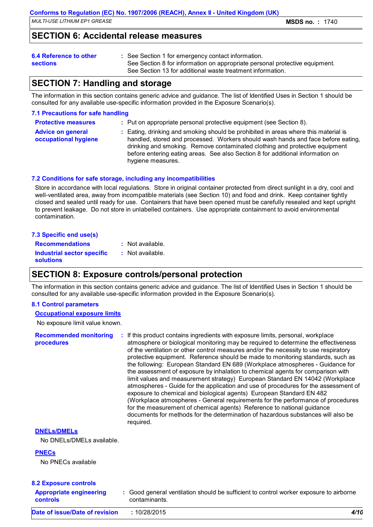## **SECTION 6: Accidental release measures**

#### **6.4 Reference to other**

- See Section 1 for emergency contact information. **:**
- **sections**
- See Section 8 for information on appropriate personal protective equipment. See Section 13 for additional waste treatment information.

## **SECTION 7: Handling and storage**

The information in this section contains generic advice and guidance. The list of Identified Uses in Section 1 should be consulted for any available use-specific information provided in the Exposure Scenario(s).

#### **7.1 Precautions for safe handling**

| <b>Protective measures</b> | : Put on appropriate personal protective equipment (see Section 8). |
|----------------------------|---------------------------------------------------------------------|
|----------------------------|---------------------------------------------------------------------|

| <b>Advice on general</b> | : Eating, drinking and smoking should be prohibited in areas where this material is |
|--------------------------|-------------------------------------------------------------------------------------|
| occupational hygiene     | handled, stored and processed. Workers should wash hands and face before eating,    |
|                          | drinking and smoking. Remove contaminated clothing and protective equipment         |
|                          | before entering eating areas. See also Section 8 for additional information on      |
|                          | hygiene measures.                                                                   |

#### **7.2 Conditions for safe storage, including any incompatibilities**

Store in accordance with local regulations. Store in original container protected from direct sunlight in a dry, cool and well-ventilated area, away from incompatible materials (see Section 10) and food and drink. Keep container tightly closed and sealed until ready for use. Containers that have been opened must be carefully resealed and kept upright to prevent leakage. Do not store in unlabelled containers. Use appropriate containment to avoid environmental contamination.

#### **7.3 Specific end use(s) Recommendations : Industrial sector specific : solutions** : Not available. : Not available.

## **SECTION 8: Exposure controls/personal protection**

The information in this section contains generic advice and guidance. The list of Identified Uses in Section 1 should be consulted for any available use-specific information provided in the Exposure Scenario(s).

#### **8.1 Control parameters**

#### **Occupational exposure limits**

No exposure limit value known.

**Recommended monitoring procedures :** If this product contains ingredients with exposure limits, personal, workplace atmosphere or biological monitoring may be required to determine the effectiveness of the ventilation or other control measures and/or the necessity to use respiratory protective equipment. Reference should be made to monitoring standards, such as the following: European Standard EN 689 (Workplace atmospheres - Guidance for the assessment of exposure by inhalation to chemical agents for comparison with limit values and measurement strategy) European Standard EN 14042 (Workplace atmospheres - Guide for the application and use of procedures for the assessment of exposure to chemical and biological agents) European Standard EN 482 (Workplace atmospheres - General requirements for the performance of procedures for the measurement of chemical agents) Reference to national guidance documents for methods for the determination of hazardous substances will also be required. **DNELs/DMELs**

No DNELs/DMELs available.

#### **PNECs**

No PNECs available

#### **8.2 Exposure controls**

| $\frac{1}{2}$ $\frac{1}{2}$ $\frac{1}{2}$ $\frac{1}{2}$ $\frac{1}{2}$ $\frac{1}{2}$ $\frac{1}{2}$ $\frac{1}{2}$ $\frac{1}{2}$ $\frac{1}{2}$ $\frac{1}{2}$ $\frac{1}{2}$<br><b>Appropriate engineering</b><br>controls | : Good general ventilation should be sufficient to control worker exposure to airborne<br>contaminants. |      |
|-----------------------------------------------------------------------------------------------------------------------------------------------------------------------------------------------------------------------|---------------------------------------------------------------------------------------------------------|------|
| Date of issue/Date of revision                                                                                                                                                                                        | 10/28/2015                                                                                              | 4/10 |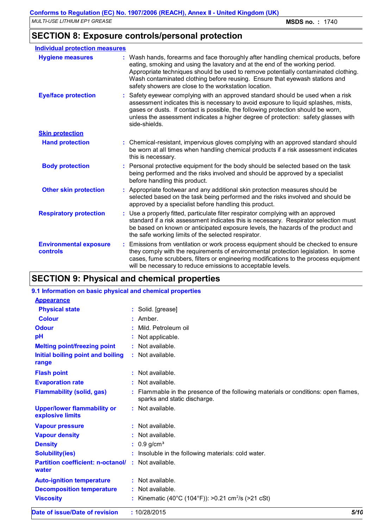## **SECTION 8: Exposure controls/personal protection**

| <b>Individual protection measures</b>     |                                                                                                                                                                                                                                                                                                                                                                                                   |
|-------------------------------------------|---------------------------------------------------------------------------------------------------------------------------------------------------------------------------------------------------------------------------------------------------------------------------------------------------------------------------------------------------------------------------------------------------|
| <b>Hygiene measures</b>                   | : Wash hands, forearms and face thoroughly after handling chemical products, before<br>eating, smoking and using the lavatory and at the end of the working period.<br>Appropriate techniques should be used to remove potentially contaminated clothing.<br>Wash contaminated clothing before reusing. Ensure that eyewash stations and<br>safety showers are close to the workstation location. |
| <b>Eye/face protection</b>                | : Safety eyewear complying with an approved standard should be used when a risk<br>assessment indicates this is necessary to avoid exposure to liquid splashes, mists,<br>gases or dusts. If contact is possible, the following protection should be worn,<br>unless the assessment indicates a higher degree of protection: safety glasses with<br>side-shields.                                 |
| <b>Skin protection</b>                    |                                                                                                                                                                                                                                                                                                                                                                                                   |
| <b>Hand protection</b>                    | : Chemical-resistant, impervious gloves complying with an approved standard should<br>be worn at all times when handling chemical products if a risk assessment indicates<br>this is necessary.                                                                                                                                                                                                   |
| <b>Body protection</b>                    | : Personal protective equipment for the body should be selected based on the task<br>being performed and the risks involved and should be approved by a specialist<br>before handling this product.                                                                                                                                                                                               |
| <b>Other skin protection</b>              | : Appropriate footwear and any additional skin protection measures should be<br>selected based on the task being performed and the risks involved and should be<br>approved by a specialist before handling this product.                                                                                                                                                                         |
| <b>Respiratory protection</b>             | : Use a properly fitted, particulate filter respirator complying with an approved<br>standard if a risk assessment indicates this is necessary. Respirator selection must<br>be based on known or anticipated exposure levels, the hazards of the product and<br>the safe working limits of the selected respirator.                                                                              |
| <b>Environmental exposure</b><br>controls | : Emissions from ventilation or work process equipment should be checked to ensure<br>they comply with the requirements of environmental protection legislation. In some<br>cases, fume scrubbers, filters or engineering modifications to the process equipment<br>will be necessary to reduce emissions to acceptable levels.                                                                   |

## **SECTION 9: Physical and chemical properties**

#### **9.1 Information on basic physical and chemical properties**

| <b>Appearance</b>                                                  |                                                                                                                  |
|--------------------------------------------------------------------|------------------------------------------------------------------------------------------------------------------|
| <b>Physical state</b>                                              | : Solid. [grease]                                                                                                |
| <b>Colour</b>                                                      | $:$ Amber.                                                                                                       |
| <b>Odour</b>                                                       | Mild. Petroleum oil                                                                                              |
| pH                                                                 | Not applicable.                                                                                                  |
| <b>Melting point/freezing point</b>                                | $:$ Not available.                                                                                               |
| Initial boiling point and boiling<br>range                         | : Not available.                                                                                                 |
| <b>Flash point</b>                                                 | $:$ Not available.                                                                                               |
| <b>Evaporation rate</b>                                            | : Not available.                                                                                                 |
| <b>Flammability (solid, gas)</b>                                   | Flammable in the presence of the following materials or conditions: open flames,<br>sparks and static discharge. |
| <b>Upper/lower flammability or</b><br>explosive limits             | : Not available.                                                                                                 |
| <b>Vapour pressure</b>                                             | $:$ Not available.                                                                                               |
| <b>Vapour density</b>                                              | : Not available.                                                                                                 |
| <b>Density</b>                                                     | $: 0.9$ g/cm <sup>3</sup>                                                                                        |
| <b>Solubility(ies)</b>                                             | : Insoluble in the following materials: cold water.                                                              |
| <b>Partition coefficient: n-octanol/ : Not available.</b><br>water |                                                                                                                  |
| <b>Auto-ignition temperature</b>                                   | : Not available.                                                                                                 |
| <b>Decomposition temperature</b>                                   | : Not available.                                                                                                 |
| <b>Viscosity</b>                                                   | : Kinematic (40°C (104°F)): >0.21 cm <sup>2</sup> /s (>21 cSt)                                                   |
|                                                                    | $\overline{1}$                                                                                                   |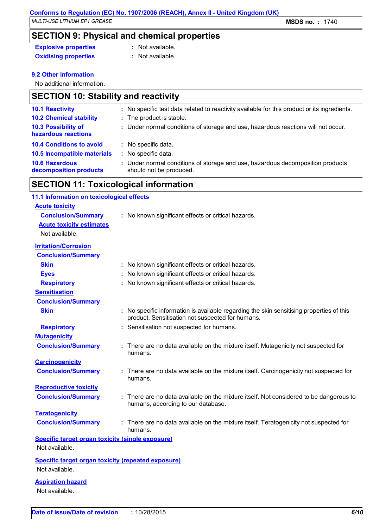**SECTION 9: Physical and chemical properties**

**Explosive properties :** Not available.

**Oxidising properties** : Not available.

#### **9.2 Other information**

No additional information.

#### **SECTION 10: Stability and reactivity**

| : No specific test data related to reactivity available for this product or its ingredients.              |
|-----------------------------------------------------------------------------------------------------------|
| : The product is stable.                                                                                  |
| : Under normal conditions of storage and use, hazardous reactions will not occur.                         |
| : No specific data.                                                                                       |
| : No specific data.                                                                                       |
| : Under normal conditions of storage and use, hazardous decomposition products<br>should not be produced. |
|                                                                                                           |

### **SECTION 11: Toxicological information**

#### **Acute toxicity Conclusion/Summary :** No known significant effects or critical hazards. **Carcinogenicity Conclusion/Summary :** There are no data available on the mixture itself. Carcinogenicity not suspected for humans. **Mutagenicity Conclusion/Summary :** There are no data available on the mixture itself. Mutagenicity not suspected for humans. **Teratogenicity Conclusion/Summary :** There are no data available on the mixture itself. Teratogenicity not suspected for humans. **Reproductive toxicity Conclusion/Summary :** There are no data available on the mixture itself. Not considered to be dangerous to humans, according to our database. **Irritation/Corrosion Conclusion/Summary Skin Skin Skin Skin Skin Skin Skin Skin E n Skin Skin Skin Skin Skin Skin Skin Skin Skin Skin Skin Skin Skin Skin Skin Skin Skin Skin Skin Skin Skin Skinn Sk Eyes :** No known significant effects or critical hazards. **Respiratory :** No known significant effects or critical hazards. **Sensitisation Conclusion/Summary Skin Example 20 Skin :** No specific information is available regarding the skin sensitising properties of this product. Sensitisation not suspected for humans. **Respiratory :** Sensitisation not suspected for humans. **11.1 Information on toxicological effects Acute toxicity estimates** Not available. **Specific target organ toxicity (single exposure) Specific target organ toxicity (repeated exposure) Aspiration hazard** Not available. Not available. Not available.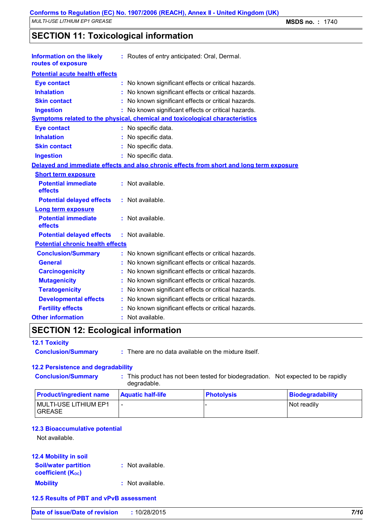**SECTION 11: Toxicological information**

| <b>Information on the likely</b><br>routes of exposure                       |  | : Routes of entry anticipated: Oral, Dermal.                                             |  |  |
|------------------------------------------------------------------------------|--|------------------------------------------------------------------------------------------|--|--|
| <b>Potential acute health effects</b>                                        |  |                                                                                          |  |  |
| <b>Eye contact</b>                                                           |  | : No known significant effects or critical hazards.                                      |  |  |
| <b>Inhalation</b>                                                            |  | : No known significant effects or critical hazards.                                      |  |  |
| <b>Skin contact</b>                                                          |  | No known significant effects or critical hazards.                                        |  |  |
| <b>Ingestion</b>                                                             |  | : No known significant effects or critical hazards.                                      |  |  |
| Symptoms related to the physical, chemical and toxicological characteristics |  |                                                                                          |  |  |
| <b>Eye contact</b>                                                           |  | : No specific data.                                                                      |  |  |
| <b>Inhalation</b>                                                            |  | : No specific data.                                                                      |  |  |
| <b>Skin contact</b>                                                          |  | : No specific data.                                                                      |  |  |
| <b>Ingestion</b>                                                             |  | : No specific data.                                                                      |  |  |
|                                                                              |  | Delayed and immediate effects and also chronic effects from short and long term exposure |  |  |
| <b>Short term exposure</b>                                                   |  |                                                                                          |  |  |
| <b>Potential immediate</b><br>effects                                        |  | : Not available.                                                                         |  |  |
| <b>Potential delayed effects</b>                                             |  | : Not available.                                                                         |  |  |
| <b>Long term exposure</b>                                                    |  |                                                                                          |  |  |
| <b>Potential immediate</b><br>effects                                        |  | : Not available.                                                                         |  |  |
| <b>Potential delayed effects</b>                                             |  | : Not available.                                                                         |  |  |
| <b>Potential chronic health effects</b>                                      |  |                                                                                          |  |  |
| <b>Conclusion/Summary</b>                                                    |  | : No known significant effects or critical hazards.                                      |  |  |
| <b>General</b>                                                               |  | : No known significant effects or critical hazards.                                      |  |  |
| <b>Carcinogenicity</b>                                                       |  | No known significant effects or critical hazards.                                        |  |  |
| <b>Mutagenicity</b>                                                          |  | No known significant effects or critical hazards.                                        |  |  |
| <b>Teratogenicity</b>                                                        |  | No known significant effects or critical hazards.                                        |  |  |
| <b>Developmental effects</b>                                                 |  | No known significant effects or critical hazards.                                        |  |  |
| <b>Fertility effects</b>                                                     |  | No known significant effects or critical hazards.                                        |  |  |
| <b>Other information</b>                                                     |  | Not available.                                                                           |  |  |
|                                                                              |  |                                                                                          |  |  |

## **SECTION 12: Ecological information**

#### **12.1 Toxicity**

**Conclusion/Summary :** There are no data available on the mixture itself.

#### **12.2 Persistence and degradability**

**Conclusion/Summary :** This product has not been tested for biodegradation. Not expected to be rapidly degradable.

| <b>Product/ingredient name</b>           | <b>Aquatic half-life</b> | <b>Photolysis</b> | Biodegradability |
|------------------------------------------|--------------------------|-------------------|------------------|
| <b>MULTI-USE LITHIUM EP1</b><br>I GREASE |                          |                   | Not readily      |

#### **12.3 Bioaccumulative potential**

Not available.

| <b>12.4 Mobility in soil</b>                            |                  |
|---------------------------------------------------------|------------------|
| <b>Soil/water partition</b><br><b>coefficient (Koc)</b> | : Not available. |
| <b>Mobility</b>                                         | : Not available. |

#### **12.5 Results of PBT and vPvB assessment**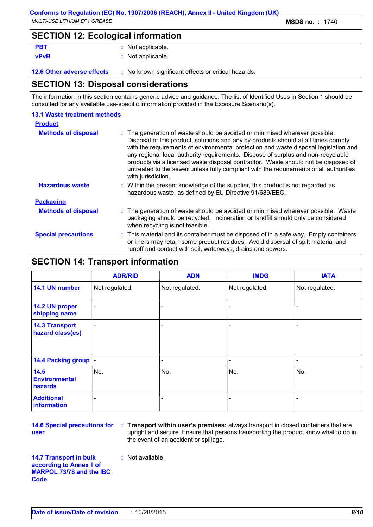## **SECTION 12: Ecological information**

**vPvB :** Not applicable.

**PBT :** Not applicable.

**12.6 Other adverse effects** : No known significant effects or critical hazards.

#### **SECTION 13: Disposal considerations**

The information in this section contains generic advice and guidance. The list of Identified Uses in Section 1 should be consulted for any available use-specific information provided in the Exposure Scenario(s).

| <b>13.1 Waste treatment methods</b> |                                                                                                                                                                                                                                                                                                                                                                                                                                                                                                                                                     |
|-------------------------------------|-----------------------------------------------------------------------------------------------------------------------------------------------------------------------------------------------------------------------------------------------------------------------------------------------------------------------------------------------------------------------------------------------------------------------------------------------------------------------------------------------------------------------------------------------------|
| <b>Product</b>                      |                                                                                                                                                                                                                                                                                                                                                                                                                                                                                                                                                     |
| <b>Methods of disposal</b>          | : The generation of waste should be avoided or minimised wherever possible.<br>Disposal of this product, solutions and any by-products should at all times comply<br>with the requirements of environmental protection and waste disposal legislation and<br>any regional local authority requirements. Dispose of surplus and non-recyclable<br>products via a licensed waste disposal contractor. Waste should not be disposed of<br>untreated to the sewer unless fully compliant with the requirements of all authorities<br>with jurisdiction. |
| <b>Hazardous waste</b>              | : Within the present knowledge of the supplier, this product is not regarded as<br>hazardous waste, as defined by EU Directive 91/689/EEC.                                                                                                                                                                                                                                                                                                                                                                                                          |
| <b>Packaging</b>                    |                                                                                                                                                                                                                                                                                                                                                                                                                                                                                                                                                     |
| <b>Methods of disposal</b>          | : The generation of waste should be avoided or minimised wherever possible. Waste<br>packaging should be recycled. Incineration or landfill should only be considered<br>when recycling is not feasible.                                                                                                                                                                                                                                                                                                                                            |
| <b>Special precautions</b>          | : This material and its container must be disposed of in a safe way. Empty containers<br>or liners may retain some product residues. Avoid dispersal of spilt material and<br>runoff and contact with soil, waterways, drains and sewers.                                                                                                                                                                                                                                                                                                           |

## **SECTION 14: Transport information**

|                                           | <b>ADR/RID</b> | <b>ADN</b>     | <b>IMDG</b>    | <b>IATA</b>    |
|-------------------------------------------|----------------|----------------|----------------|----------------|
| 14.1 UN number                            | Not regulated. | Not regulated. | Not regulated. | Not regulated. |
| 14.2 UN proper<br>shipping name           |                |                |                |                |
| <b>14.3 Transport</b><br>hazard class(es) |                |                |                |                |
| 14.4 Packing group  -                     |                | -              | -              | -              |
| 14.5<br><b>Environmental</b><br>hazards   | No.            | No.            | No.            | No.            |
| <b>Additional</b><br>information          | -              |                |                |                |

**14.6 Special precautions for user**

**Transport within user's premises:** always transport in closed containers that are **:** upright and secure. Ensure that persons transporting the product know what to do in the event of an accident or spillage.

**14.7 Transport in bulk according to Annex II of MARPOL 73/78 and the IBC Code :** Not available.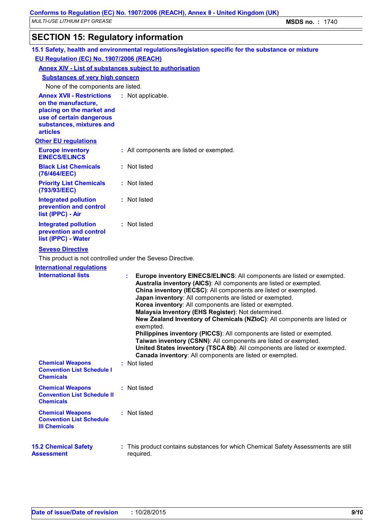## **SECTION 15: Regulatory information**

| 15.1 Safety, health and environmental regulations/legislation specific for the substance or mixture                                                             |                                                                                                                                                                                                                                                                                                                                                                                                                                                                                                                                                                                                                                                                                                                                                                                 |  |  |
|-----------------------------------------------------------------------------------------------------------------------------------------------------------------|---------------------------------------------------------------------------------------------------------------------------------------------------------------------------------------------------------------------------------------------------------------------------------------------------------------------------------------------------------------------------------------------------------------------------------------------------------------------------------------------------------------------------------------------------------------------------------------------------------------------------------------------------------------------------------------------------------------------------------------------------------------------------------|--|--|
| EU Regulation (EC) No. 1907/2006 (REACH)                                                                                                                        |                                                                                                                                                                                                                                                                                                                                                                                                                                                                                                                                                                                                                                                                                                                                                                                 |  |  |
| <b>Annex XIV - List of substances subject to authorisation</b>                                                                                                  |                                                                                                                                                                                                                                                                                                                                                                                                                                                                                                                                                                                                                                                                                                                                                                                 |  |  |
| <b>Substances of very high concern</b>                                                                                                                          |                                                                                                                                                                                                                                                                                                                                                                                                                                                                                                                                                                                                                                                                                                                                                                                 |  |  |
| None of the components are listed.                                                                                                                              |                                                                                                                                                                                                                                                                                                                                                                                                                                                                                                                                                                                                                                                                                                                                                                                 |  |  |
| <b>Annex XVII - Restrictions</b><br>on the manufacture,<br>placing on the market and<br>use of certain dangerous<br>substances, mixtures and<br><b>articles</b> | : Not applicable.                                                                                                                                                                                                                                                                                                                                                                                                                                                                                                                                                                                                                                                                                                                                                               |  |  |
| <b>Other EU regulations</b>                                                                                                                                     |                                                                                                                                                                                                                                                                                                                                                                                                                                                                                                                                                                                                                                                                                                                                                                                 |  |  |
| <b>Europe inventory</b><br><b>EINECS/ELINCS</b>                                                                                                                 | : All components are listed or exempted.                                                                                                                                                                                                                                                                                                                                                                                                                                                                                                                                                                                                                                                                                                                                        |  |  |
| <b>Black List Chemicals</b><br>(76/464/EEC)                                                                                                                     | : Not listed                                                                                                                                                                                                                                                                                                                                                                                                                                                                                                                                                                                                                                                                                                                                                                    |  |  |
| <b>Priority List Chemicals</b><br>(793/93/EEC)                                                                                                                  | : Not listed                                                                                                                                                                                                                                                                                                                                                                                                                                                                                                                                                                                                                                                                                                                                                                    |  |  |
| <b>Integrated pollution</b><br>prevention and control<br>list (IPPC) - Air                                                                                      | : Not listed                                                                                                                                                                                                                                                                                                                                                                                                                                                                                                                                                                                                                                                                                                                                                                    |  |  |
| <b>Integrated pollution</b><br>prevention and control<br>list (IPPC) - Water                                                                                    | : Not listed                                                                                                                                                                                                                                                                                                                                                                                                                                                                                                                                                                                                                                                                                                                                                                    |  |  |
| <b>Seveso Directive</b>                                                                                                                                         |                                                                                                                                                                                                                                                                                                                                                                                                                                                                                                                                                                                                                                                                                                                                                                                 |  |  |
| This product is not controlled under the Seveso Directive.                                                                                                      |                                                                                                                                                                                                                                                                                                                                                                                                                                                                                                                                                                                                                                                                                                                                                                                 |  |  |
| <b>International regulations</b><br><b>International lists</b>                                                                                                  | Europe inventory EINECS/ELINCS: All components are listed or exempted.<br>÷.<br>Australia inventory (AICS): All components are listed or exempted.<br>China inventory (IECSC): All components are listed or exempted.<br>Japan inventory: All components are listed or exempted.<br>Korea inventory: All components are listed or exempted.<br>Malaysia Inventory (EHS Register): Not determined.<br>New Zealand Inventory of Chemicals (NZIoC): All components are listed or<br>exempted.<br>Philippines inventory (PICCS): All components are listed or exempted.<br>Taiwan inventory (CSNN): All components are listed or exempted.<br>United States inventory (TSCA 8b): All components are listed or exempted.<br>Canada inventory: All components are listed or exempted. |  |  |
| <b>Chemical Weapons</b><br><b>Convention List Schedule I</b><br><b>Chemicals</b>                                                                                | : Not listed                                                                                                                                                                                                                                                                                                                                                                                                                                                                                                                                                                                                                                                                                                                                                                    |  |  |
| <b>Chemical Weapons</b><br><b>Convention List Schedule II</b><br><b>Chemicals</b>                                                                               | : Not listed                                                                                                                                                                                                                                                                                                                                                                                                                                                                                                                                                                                                                                                                                                                                                                    |  |  |
| <b>Chemical Weapons</b><br><b>Convention List Schedule</b><br><b>III Chemicals</b>                                                                              | : Not listed                                                                                                                                                                                                                                                                                                                                                                                                                                                                                                                                                                                                                                                                                                                                                                    |  |  |
| <b>15.2 Chemical Safety</b><br><b>Assessment</b>                                                                                                                | : This product contains substances for which Chemical Safety Assessments are still<br>required.                                                                                                                                                                                                                                                                                                                                                                                                                                                                                                                                                                                                                                                                                 |  |  |